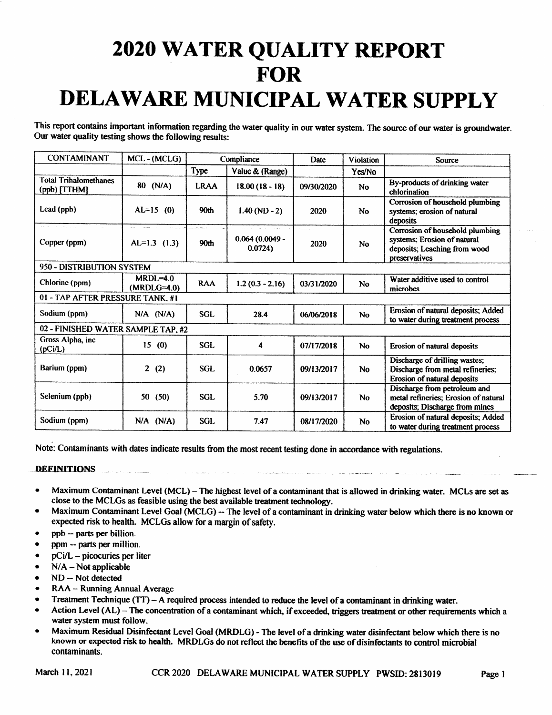## 2020 WATER QUALITY REPORT FOR DELAWARE MUNICIPAL WATER SUPPLY

This report contains important information regarding the water quality in our water system. The source ofour water is groundwater. Our water quality testing shows the following results:

| <b>CONTAMINANT</b>                           | MCL-(MCLG)                    | Compliance                                |                                                         | Date               | <b>Violation</b>    | <b>Source</b>                                                                                                   |
|----------------------------------------------|-------------------------------|-------------------------------------------|---------------------------------------------------------|--------------------|---------------------|-----------------------------------------------------------------------------------------------------------------|
|                                              |                               | Type                                      | Value & (Range)                                         |                    | Yes/No              |                                                                                                                 |
| <b>Total Trihalomethanes</b><br>(ppb) [TTHM] | 80 (N/A)                      | <b>LRAA</b>                               | $18.00(18 - 18)$                                        | 09/30/2020         | <b>No</b>           | By-products of drinking water<br>chlorination                                                                   |
| Lead (ppb)                                   | $AL=15$ (0)                   | 90th                                      | $1.40(ND - 2)$                                          | 2020               | <b>No</b>           | Corrosion of household plumbing<br>systems; erosion of natural<br>deposits                                      |
| er en soldado de<br>Copper (ppm)             | and support<br>$AL=1.3$ (1.3) | .<br>Nasara matana a Panana na Ka<br>90th | state and support the an-<br>$0.064(0.0049 -$<br>0.0724 | بالمواضحات<br>2020 | $\sim$<br><b>No</b> | Corrosion of household plumbing<br>systems; Erosion of natural<br>deposits; Leaching from wood<br>preservatives |
| 950 - DISTRIBUTION SYSTEM                    |                               |                                           |                                                         |                    |                     |                                                                                                                 |
| Chlorine (ppm)                               | $MRDL=4.0$<br>$(MRDLG=4.0)$   | <b>RAA</b>                                | $1.2(0.3 - 2.16)$                                       | 03/31/2020         | <b>No</b>           | Water additive used to control<br>microbes                                                                      |
| 01 - TAP AFTER PRESSURE TANK, #1             |                               |                                           |                                                         |                    |                     |                                                                                                                 |
| Sodium (ppm)                                 | $N/A$ $(N/A)$                 | <b>SGL</b>                                | 28.4                                                    | 06/06/2018         | <b>No</b>           | Erosion of natural deposits; Added<br>to water during treatment process                                         |
| 02 - FINISHED WATER SAMPLE TAP, #2           |                               |                                           |                                                         |                    |                     |                                                                                                                 |
| Gross Alpha, inc<br>(pCi/L)                  | 15(0)                         | <b>SGL</b>                                | 4                                                       | 07/17/2018         | <b>No</b>           | Erosion of natural deposits                                                                                     |
| Barium (ppm)                                 | $\mathbf{2}$<br>(2)           | <b>SGL</b>                                | 0.0657                                                  | 09/13/2017         | <b>No</b>           | Discharge of drilling wastes;<br>Discharge from metal refineries;<br>Erosion of natural deposits                |
| Selenium (ppb)                               | 50(50)                        | <b>SGL</b>                                | 5.70                                                    | 09/13/2017         | <b>No</b>           | Discharge from petroleum and<br>metal refineries; Erosion of natural<br>deposits; Discharge from mines          |
| Sodium (ppm)                                 | $N/A$ $(N/A)$                 | <b>SGL</b>                                | 7.47                                                    | 08/17/2020         | No                  | Erosion of natural deposits; Added<br>to water during treatment process                                         |

Note: Contaminants with dates indicate results from the most recent testing done in accordance with regulations.

**DEFINITIONS** 

- Maximum Contaminant Level (MCL) The highest level of a contaminant that is allowed in drinking water. MCLs are set as close to the MCLGs as feasible using the best available treatment technology.
- Maximum Contaminant Level Goal (MCLG) -- The level of a contaminant in drinking water below which there is no known or expected risk to health. MCLGs allow for <sup>a</sup> margin of safety.
- ppb— parts per billion\_
- ppm— parts per million.
- $pCi/L$  picocuries per liter
- $N/A Not applicable$
- ND-- Not detected
- RAA— Running Annual Average
- Treatment Technique (TT) A required process intended to reduce the level of a contaminant in drinking water.
- Action Level (AL) The concentration of a contaminant which, if exceeded, triggers treatment or other requirements which a water system must follow.
- Maximum Residual Disinfectant Level Goal( MRDLG)- The level of <sup>a</sup> drinking water disinfectant below which there is no known or expected risk to health. MRDLGs do not reflect the benefits of the use of disinfectants to control microbial contaminants.